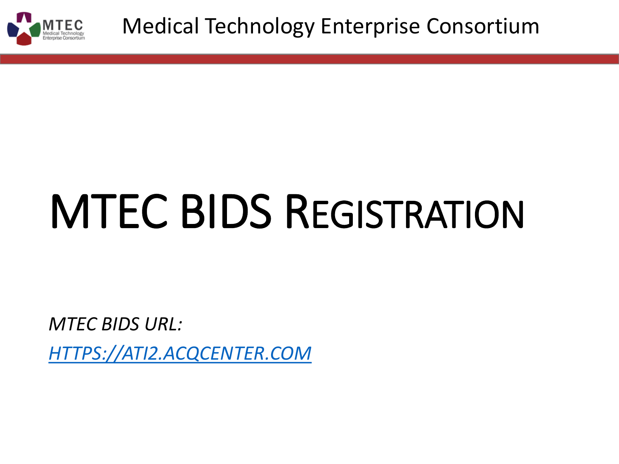

# MTEC BIDS REGISTRATION

*MTEC BIDS URL:*

*[HTTPS://ATI2.ACQCENTER.COM](https://ati2.acqcenter.com/)*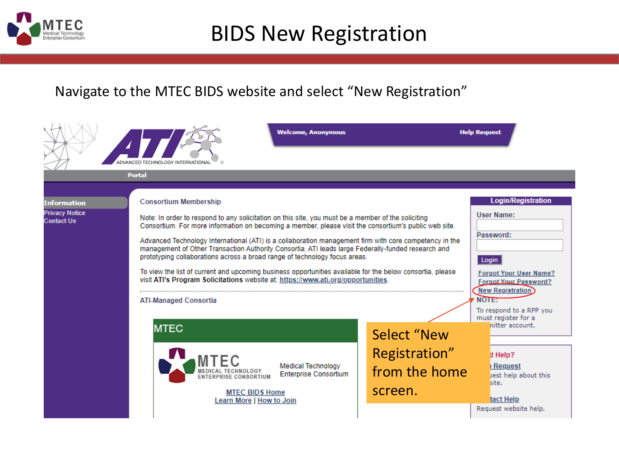

## BIDS New Registration

#### Navigate to the MTEC BIDS website and select "New Registration"

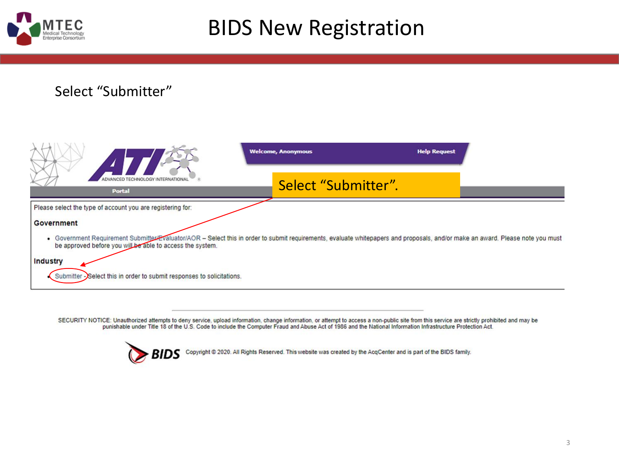

## BIDS New Registration

#### Select "Submitter"



SECURITY NOTICE: Unauthorized attempts to deny service, upload information, change information, or attempt to access a non-public site from this service are strictly prohibited and may be punishable under Title 18 of the U.S. Code to include the Computer Fraud and Abuse Act of 1986 and the National Information Infrastructure Protection Act.

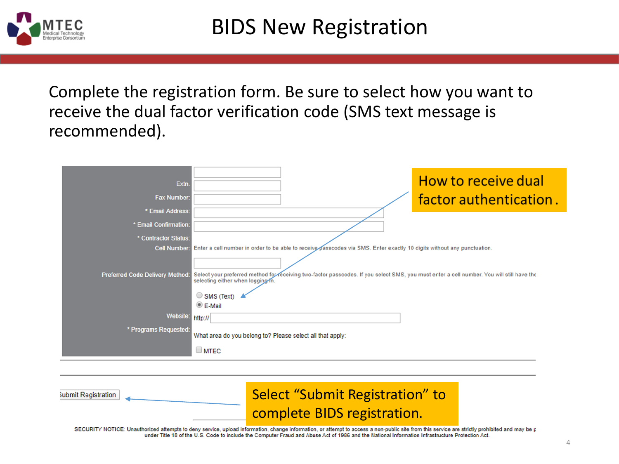

Complete the registration form. Be sure to select how you want to receive the dual factor verification code (SMS text message is recommended).

| Extn.<br><b>Fax Number:</b>               | How to receive dual<br>factor authentication.                                                                                                                                                                                 |
|-------------------------------------------|-------------------------------------------------------------------------------------------------------------------------------------------------------------------------------------------------------------------------------|
| * Email Address:<br>* Email Confirmation: |                                                                                                                                                                                                                               |
| * Contractor Status:                      |                                                                                                                                                                                                                               |
| <b>Cell Number:</b>                       | Enter a cell number in order to be able to receive passcodes via SMS. Enter exactly 10 digits without any punctuation.                                                                                                        |
| <b>Preferred Code Delivery Method:</b>    | Select your preferred method for receiving two-factor passcodes. If you select SMS, you must enter a cell number. You will still have the<br>selecting either when logging in.<br>$\circ$ SMS (Text)<br>$\circledcirc$ E-Mail |
| Website:                                  | http://                                                                                                                                                                                                                       |
| * Programs Requested:                     | What area do you belong to? Please select all that apply:<br>$\square$ MTEC                                                                                                                                                   |

| ubmit Registration | Select "Submit Registration" to                                                                                                                                                             |  |
|--------------------|---------------------------------------------------------------------------------------------------------------------------------------------------------------------------------------------|--|
|                    | complete BIDS registration.                                                                                                                                                                 |  |
|                    | SECURITY NOTICE: Unauthorized attempts to deny service, upload information, change information, or attempt to access a non-public site from this service are strictly prohibited and may be |  |

p under Title 18 of the U.S. Code to include the Computer Fraud and Abuse Act of 1986 and the National Information Infrastructure Protection Act.